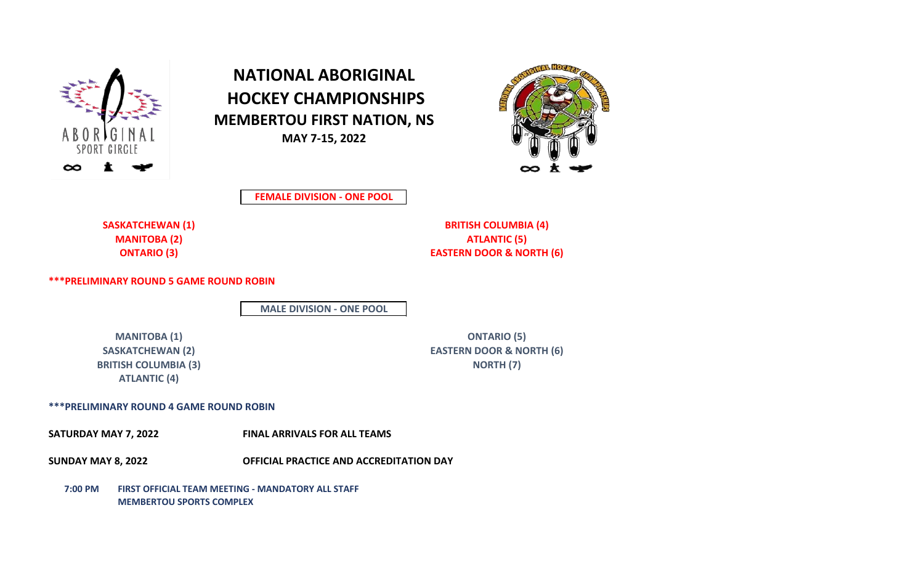

**NATIONAL ABORIGINAL HOCKEY CHAMPIONSHIPS MEMBERTOU FIRST NATION, NS MAY 7-15, 2022**



**FEMALE DIVISION - ONE POOL**

**SASKATCHEWAN (1) BRITISH COLUMBIA (4) MANITOBA (2) ATLANTIC (5) ONTARIO (3) EASTERN DOOR & NORTH (6)**

**\*\*\*PRELIMINARY ROUND 5 GAME ROUND ROBIN**

**MALE DIVISION - ONE POOL**

**BRITISH COLUMBIA (3)** NORTH (7) **ATLANTIC (4)**

**MANITOBA (1) ONTARIO (5) SASKATCHEWAN (2) EASTERN DOOR & NORTH (6)**

## **\*\*\*PRELIMINARY ROUND 4 GAME ROUND ROBIN**

**SATURDAY MAY 7, 2022 FINAL ARRIVALS FOR ALL TEAMS**

**SUNDAY MAY 8, 2022 OFFICIAL PRACTICE AND ACCREDITATION DAY** 

**7:00 PM FIRST OFFICIAL TEAM MEETING - MANDATORY ALL STAFF MEMBERTOU SPORTS COMPLEX**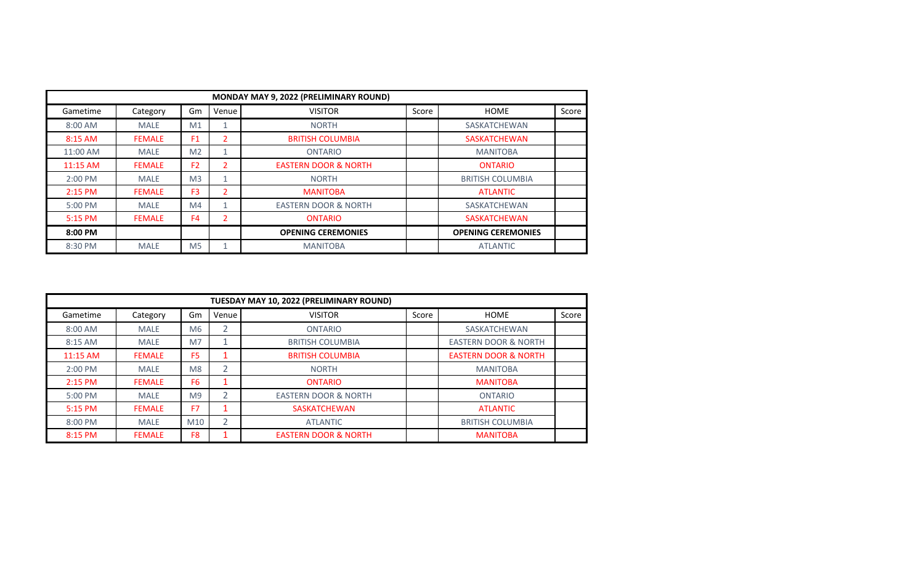| MONDAY MAY 9, 2022 (PRELIMINARY ROUND) |               |                |       |                                 |       |                           |       |  |
|----------------------------------------|---------------|----------------|-------|---------------------------------|-------|---------------------------|-------|--|
| Gametime                               | Category      | Gm             | Venue | <b>VISITOR</b>                  | Score | HOME                      | Score |  |
| 8:00 AM                                | <b>MALE</b>   | M <sub>1</sub> |       | <b>NORTH</b>                    |       | SASKATCHEWAN              |       |  |
| 8:15 AM                                | <b>FEMALE</b> | F <sub>1</sub> | 2     | <b>BRITISH COLUMBIA</b>         |       | <b>SASKATCHEWAN</b>       |       |  |
| 11:00 AM                               | <b>MALE</b>   | M <sub>2</sub> |       | <b>ONTARIO</b>                  |       | <b>MANITOBA</b>           |       |  |
| 11:15 AM                               | <b>FEMALE</b> | F <sub>2</sub> | 2     | <b>EASTERN DOOR &amp; NORTH</b> |       | <b>ONTARIO</b>            |       |  |
| $2:00$ PM                              | <b>MALE</b>   | M <sub>3</sub> |       | <b>NORTH</b>                    |       | <b>BRITISH COLUMBIA</b>   |       |  |
| 2:15 PM                                | <b>FEMALE</b> | F <sub>3</sub> | 2     | <b>MANITOBA</b>                 |       | <b>ATLANTIC</b>           |       |  |
| 5:00 PM                                | <b>MALE</b>   | M4             |       | <b>EASTERN DOOR &amp; NORTH</b> |       | SASKATCHEWAN              |       |  |
| 5:15 PM                                | <b>FEMALE</b> | F4             | 2     | <b>ONTARIO</b>                  |       | <b>SASKATCHEWAN</b>       |       |  |
| 8:00 PM                                |               |                |       | <b>OPENING CEREMONIES</b>       |       | <b>OPENING CEREMONIES</b> |       |  |
| 8:30 PM                                | <b>MALE</b>   | M <sub>5</sub> |       | <b>MANITOBA</b>                 |       | <b>ATLANTIC</b>           |       |  |

| TUESDAY MAY 10, 2022 (PRELIMINARY ROUND)                                               |               |                 |                |                                 |  |                                 |  |  |
|----------------------------------------------------------------------------------------|---------------|-----------------|----------------|---------------------------------|--|---------------------------------|--|--|
| Venue<br>Score<br>Score<br>Gm<br><b>VISITOR</b><br><b>HOME</b><br>Gametime<br>Category |               |                 |                |                                 |  |                                 |  |  |
| 8:00 AM                                                                                | <b>MALE</b>   | M <sub>6</sub>  | 2              | <b>ONTARIO</b>                  |  | SASKATCHEWAN                    |  |  |
| $8:15$ AM                                                                              | <b>MALE</b>   | M <sub>7</sub>  |                | <b>BRITISH COLUMBIA</b>         |  | <b>EASTERN DOOR &amp; NORTH</b> |  |  |
| 11:15 AM                                                                               | <b>FEMALE</b> | F <sub>5</sub>  |                | <b>BRITISH COLUMBIA</b>         |  | <b>EASTERN DOOR &amp; NORTH</b> |  |  |
| 2:00 PM                                                                                | <b>MALE</b>   | M8              | 2              | <b>NORTH</b>                    |  | <b>MANITOBA</b>                 |  |  |
| $2:15$ PM                                                                              | <b>FEMALE</b> | F <sub>6</sub>  |                | <b>ONTARIO</b>                  |  | <b>MANITOBA</b>                 |  |  |
| $5:00$ PM                                                                              | <b>MALE</b>   | M <sub>9</sub>  | $\overline{2}$ | <b>EASTERN DOOR &amp; NORTH</b> |  | <b>ONTARIO</b>                  |  |  |
| 5:15 PM                                                                                | <b>FEMALE</b> | F7              |                | <b>SASKATCHEWAN</b>             |  | <b>ATLANTIC</b>                 |  |  |
| 8:00 PM                                                                                | <b>MALE</b>   | M <sub>10</sub> | $\overline{2}$ | <b>ATLANTIC</b>                 |  | <b>BRITISH COLUMBIA</b>         |  |  |
| 8:15 PM                                                                                | <b>FEMALE</b> | F8              |                | <b>EASTERN DOOR &amp; NORTH</b> |  | <b>MANITOBA</b>                 |  |  |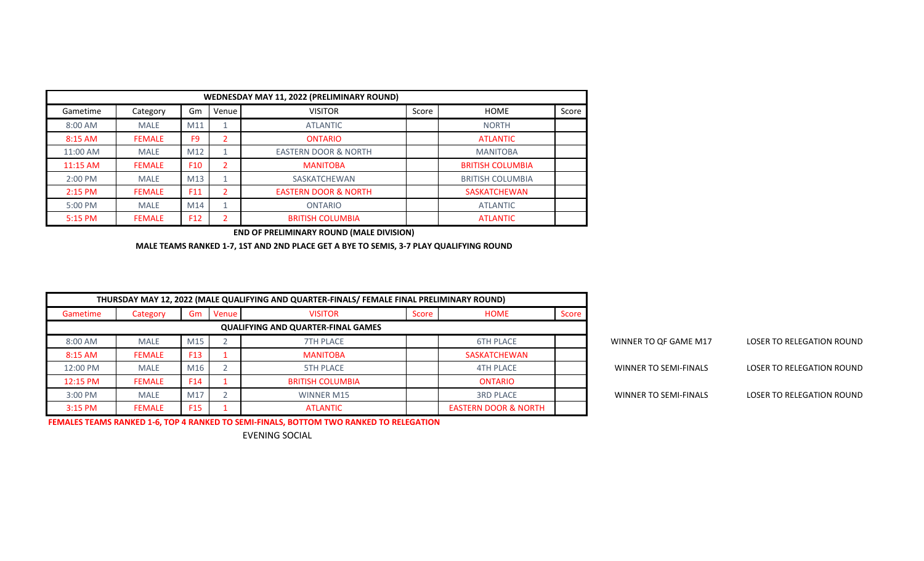|           | WEDNESDAY MAY 11, 2022 (PRELIMINARY ROUND) |                 |       |                                 |       |                         |       |  |  |  |
|-----------|--------------------------------------------|-----------------|-------|---------------------------------|-------|-------------------------|-------|--|--|--|
| Gametime  | Category                                   | Gm              | Venue | <b>VISITOR</b>                  | Score | <b>HOME</b>             | Score |  |  |  |
| 8:00 AM   | <b>MALE</b>                                | M11             |       | <b>ATLANTIC</b>                 |       | <b>NORTH</b>            |       |  |  |  |
| 8:15 AM   | <b>FEMALE</b>                              | F <sub>9</sub>  |       | <b>ONTARIO</b>                  |       | <b>ATLANTIC</b>         |       |  |  |  |
| 11:00 AM  | <b>MALE</b>                                | M12             |       | <b>EASTERN DOOR &amp; NORTH</b> |       | <b>MANITOBA</b>         |       |  |  |  |
| 11:15 AM  | <b>FEMALE</b>                              | F <sub>10</sub> | 2     | <b>MANITOBA</b>                 |       | <b>BRITISH COLUMBIA</b> |       |  |  |  |
| 2:00 PM   | <b>MALE</b>                                | M13             |       | SASKATCHEWAN                    |       | <b>BRITISH COLUMBIA</b> |       |  |  |  |
| $2:15$ PM | <b>FEMALE</b>                              | F11             | 2     | <b>EASTERN DOOR &amp; NORTH</b> |       | <b>SASKATCHEWAN</b>     |       |  |  |  |
| 5:00 PM   | <b>MALE</b>                                | M14             |       | <b>ONTARIO</b>                  |       | <b>ATLANTIC</b>         |       |  |  |  |
| 5:15 PM   | <b>FEMALE</b>                              | F <sub>12</sub> | C.    | <b>BRITISH COLUMBIA</b>         |       | <b>ATLANTIC</b>         |       |  |  |  |

**END OF PRELIMINARY ROUND (MALE DIVISION)**

**MALE TEAMS RANKED 1-7, 1ST AND 2ND PLACE GET A BYE TO SEMIS, 3-7 PLAY QUALIFYING ROUND**

|                                  |                       | THURSDAY MAY 12, 2022 (MALE QUALIFYING AND QUARTER-FINALS/ FEMALE FINAL PRELIMINARY ROUND) |                                 |       |                                           |         |                 |               |           |  |
|----------------------------------|-----------------------|--------------------------------------------------------------------------------------------|---------------------------------|-------|-------------------------------------------|---------|-----------------|---------------|-----------|--|
|                                  |                       | Score                                                                                      | HOME                            | Score | <b>VISITOR</b>                            | Venue I | Gm              | Category      | Gametime  |  |
|                                  |                       |                                                                                            |                                 |       | <b>QUALIFYING AND QUARTER-FINAL GAMES</b> |         |                 |               |           |  |
| <b>LOSER TO RELEGATION ROUND</b> | WINNER TO QF GAME M17 |                                                                                            | <b>6TH PLACE</b>                |       | <b>7TH PLACE</b>                          |         | M15             | <b>MALE</b>   | 8:00 AM   |  |
|                                  |                       |                                                                                            | SASKATCHEWAN                    |       | <b>MANITOBA</b>                           |         | F <sub>13</sub> | <b>FEMALE</b> | $8:15$ AM |  |
| LOSER TO RELEGATION ROUND        | WINNER TO SEMI-FINALS |                                                                                            | <b>4TH PLACE</b>                |       | <b>5TH PLACE</b>                          |         | M16             | <b>MALE</b>   | 12:00 PM  |  |
|                                  |                       |                                                                                            | <b>ONTARIO</b>                  |       | <b>BRITISH COLUMBIA</b>                   |         | F <sub>14</sub> | <b>FEMALE</b> | 12:15 PM  |  |
| LOSER TO RELEGATION ROUND        | WINNER TO SEMI-FINALS |                                                                                            | <b>3RD PLACE</b>                |       | <b>WINNER M15</b>                         |         | M17             | <b>MALE</b>   | 3:00 PM   |  |
|                                  |                       |                                                                                            | <b>EASTERN DOOR &amp; NORTH</b> |       | <b>ATLANTIC</b>                           |         | F <sub>15</sub> | <b>FEMALE</b> | 3:15 PM   |  |

| WINNER TO QF GAME M17 | LOSER TO RELEGATION ROUND |
|-----------------------|---------------------------|
| WINNER TO SEMI-FINALS | LOSER TO RELEGATION ROUND |
| WINNER TO SEMI-FINALS | LOSER TO RELEGATION ROUND |

**FEMALES TEAMS RANKED 1-6, TOP 4 RANKED TO SEMI-FINALS, BOTTOM TWO RANKED TO RELEGATION**

EVENING SOCIAL